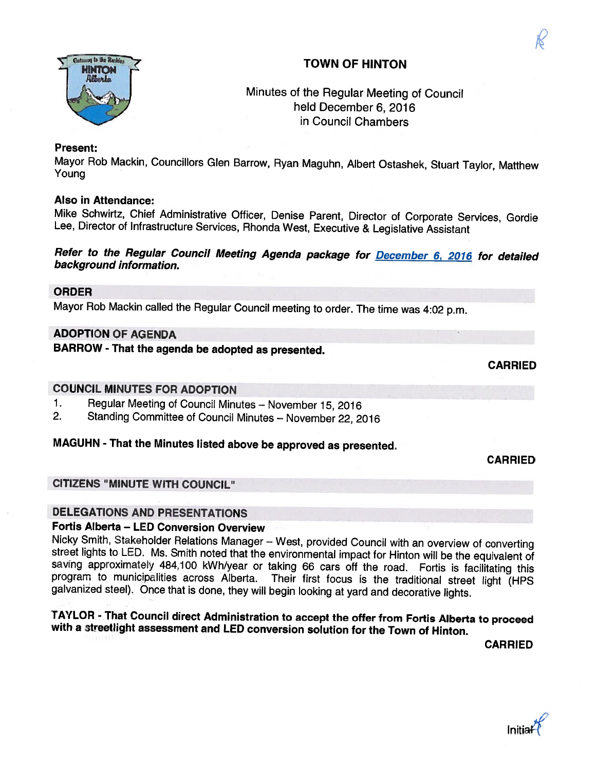### TOWN OF HINTON

### Minutes of the Regular Meeting of Council held December 6, 2016 in Council Chambers

#### Present:

Mayor Rob Mackin, Councillors Glen Barrow, Ryan Maguhn, Albert Ostashek, Stuart Taylor, Matthew Young

#### Also in Attendance:

Mike Schwirtz, Chief Administrative Officer, Denise Parent, Director of Corporate Services, Gordie Lee, Director of Infrastructure Services, Rhonda West, Executive & Legislative Assistant

Refer to the Regular Council Meeting Agenda package for **December 6, 2016** for detailed background information.

#### ORDER

Mayor Rob Mackin called the Regular Council meeting to order. The time was 4:02 p.m.

#### ADOPTION OF AGENDA

BARROW - That the agenda be adopted as presented.

CARRIED

CARRIED

#### COUNCIL MINUTES FOR ADOPTION

- 1. Regular Meeting of Council Minutes November 15, 2016<br>2. Standing Committee of Council Minutes November 22, 20
- 2. Standing Committee of Council Minutes November 22, <sup>2016</sup>

#### MAGUHN - That the Minutes listed above be approved as presented.

#### CITIZENS "MINUTE WITH COUNCIL"

#### DELEGATIONS AND PRESENTATIONS

Fortis Alberta – LED Conversion Overview<br>Nicky Smith, Stakeholder Relations Manager – West, provided Council with an overview of converting street lights to LED. Ms. Smith noted that the environmental impact for Hinton will be the equivalent of saving approximately 484,100 kWh/year or taking 66 cars off the road. Fortis is facilitating this program to municipa Their first focus is the traditional street light (HPS galvanized steel). Once that is done, they will begin looking at yard and decorative lights.

# TAYLOR - That Council direct Administration to accept the offer from Fortis Alberta to proceed with <sup>a</sup> streetliqht assessment and LED conversion solution for the Town of Hinton.

CARRIED

Initial